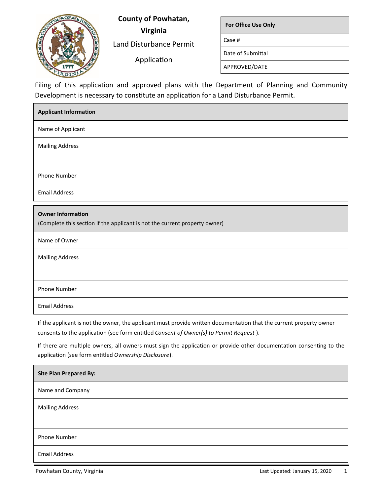

**County of Powhatan,** 

**Virginia** Land Disturbance Permit

Application

| <b>For Office Use Only</b> |  |
|----------------------------|--|
| Case #                     |  |
| Date of Submittal          |  |
| APPROVED/DATE              |  |

Filing of this application and approved plans with the Department of Planning and Community Development is necessary to constitute an application for a Land Disturbance Permit.

| <b>Applicant Information</b>                                                                           |  |  |  |
|--------------------------------------------------------------------------------------------------------|--|--|--|
| Name of Applicant                                                                                      |  |  |  |
| <b>Mailing Address</b>                                                                                 |  |  |  |
|                                                                                                        |  |  |  |
| Phone Number                                                                                           |  |  |  |
| <b>Email Address</b>                                                                                   |  |  |  |
| <b>Owner Information</b><br>(Complete this section if the applicant is not the current property owner) |  |  |  |
| Name of Owner                                                                                          |  |  |  |
| <b>Mailing Address</b>                                                                                 |  |  |  |
|                                                                                                        |  |  |  |
|                                                                                                        |  |  |  |

If the applicant is not the owner, the applicant must provide written documentation that the current property owner consents to the application (see form entitled *Consent of Owner(s) to Permit Request* ).

If there are multiple owners, all owners must sign the application or provide other documentation consenting to the application (see form entitled *Ownership Disclosure*).

| <b>Site Plan Prepared By:</b> |  |
|-------------------------------|--|
| Name and Company              |  |
| <b>Mailing Address</b>        |  |
| Phone Number                  |  |
| <b>Email Address</b>          |  |

Email Address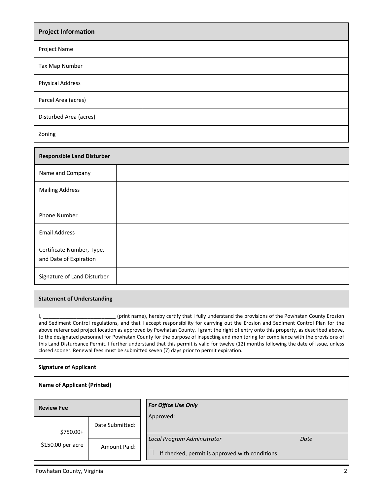| <b>Project Information</b> |  |  |
|----------------------------|--|--|
| Project Name               |  |  |
| Tax Map Number             |  |  |
| <b>Physical Address</b>    |  |  |
| Parcel Area (acres)        |  |  |
| Disturbed Area (acres)     |  |  |
| Zoning                     |  |  |

| <b>Responsible Land Disturber</b>                   |  |
|-----------------------------------------------------|--|
| Name and Company                                    |  |
| <b>Mailing Address</b>                              |  |
| <b>Phone Number</b>                                 |  |
| <b>Email Address</b>                                |  |
| Certificate Number, Type,<br>and Date of Expiration |  |
| Signature of Land Disturber                         |  |

## **Statement of Understanding**

I, \_\_\_\_\_\_\_\_\_\_\_\_\_\_\_\_\_\_\_\_\_\_\_\_\_\_ (print name), hereby certify that I fully understand the provisions of the Powhatan County Erosion and Sediment Control regulations, and that I accept responsibility for carrying out the Erosion and Sediment Control Plan for the above referenced project location as approved by Powhatan County. I grant the right of entry onto this property, as described above, to the designated personnel for Powhatan County for the purpose of inspecting and monitoring for compliance with the provisions of this Land Disturbance Permit. I further understand that this permit is valid for twelve (12) months following the date of issue, unless closed sooner. Renewal fees must be submitted seven (7) days prior to permit expiration.

**Signature of Applicant Name of Applicant (Printed)**

| <b>Review Fee</b>  |                 | <b>For Office Use Only</b>                     |      |
|--------------------|-----------------|------------------------------------------------|------|
| $$750.00+$         | Date Submitted: | Approved:                                      |      |
| $$150.00$ per acre | Amount Paid:    | Local Program Administrator                    | Date |
|                    |                 | If checked, permit is approved with conditions |      |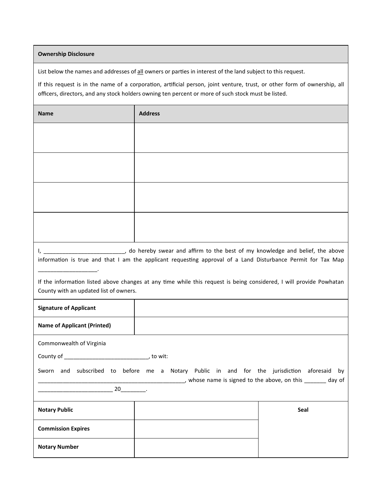## **Ownership Disclosure**

List below the names and addresses of all owners or parties in interest of the land subject to this request.

If this request is in the name of a corporation, artificial person, joint venture, trust, or other form of ownership, all officers, directors, and any stock holders owning ten percent or more of such stock must be listed.

| <b>Name</b>                                                                                                                                                   | <b>Address</b> |      |  |
|---------------------------------------------------------------------------------------------------------------------------------------------------------------|----------------|------|--|
|                                                                                                                                                               |                |      |  |
|                                                                                                                                                               |                |      |  |
|                                                                                                                                                               |                |      |  |
|                                                                                                                                                               |                |      |  |
| information is true and that I am the applicant requesting approval of a Land Disturbance Permit for Tax Map                                                  |                |      |  |
| If the information listed above changes at any time while this request is being considered, I will provide Powhatan<br>County with an updated list of owners. |                |      |  |
| <b>Signature of Applicant</b>                                                                                                                                 |                |      |  |
| <b>Name of Applicant (Printed)</b>                                                                                                                            |                |      |  |
| Commonwealth of Virginia<br>Sworn and subscribed to before me a Notary Public in and for the jurisdiction aforesaid<br>by                                     |                |      |  |
| whose name is signed to the above, on this _______ day of<br>20                                                                                               |                |      |  |
| <b>Notary Public</b>                                                                                                                                          |                | Seal |  |
| <b>Commission Expires</b>                                                                                                                                     |                |      |  |
| <b>Notary Number</b>                                                                                                                                          |                |      |  |